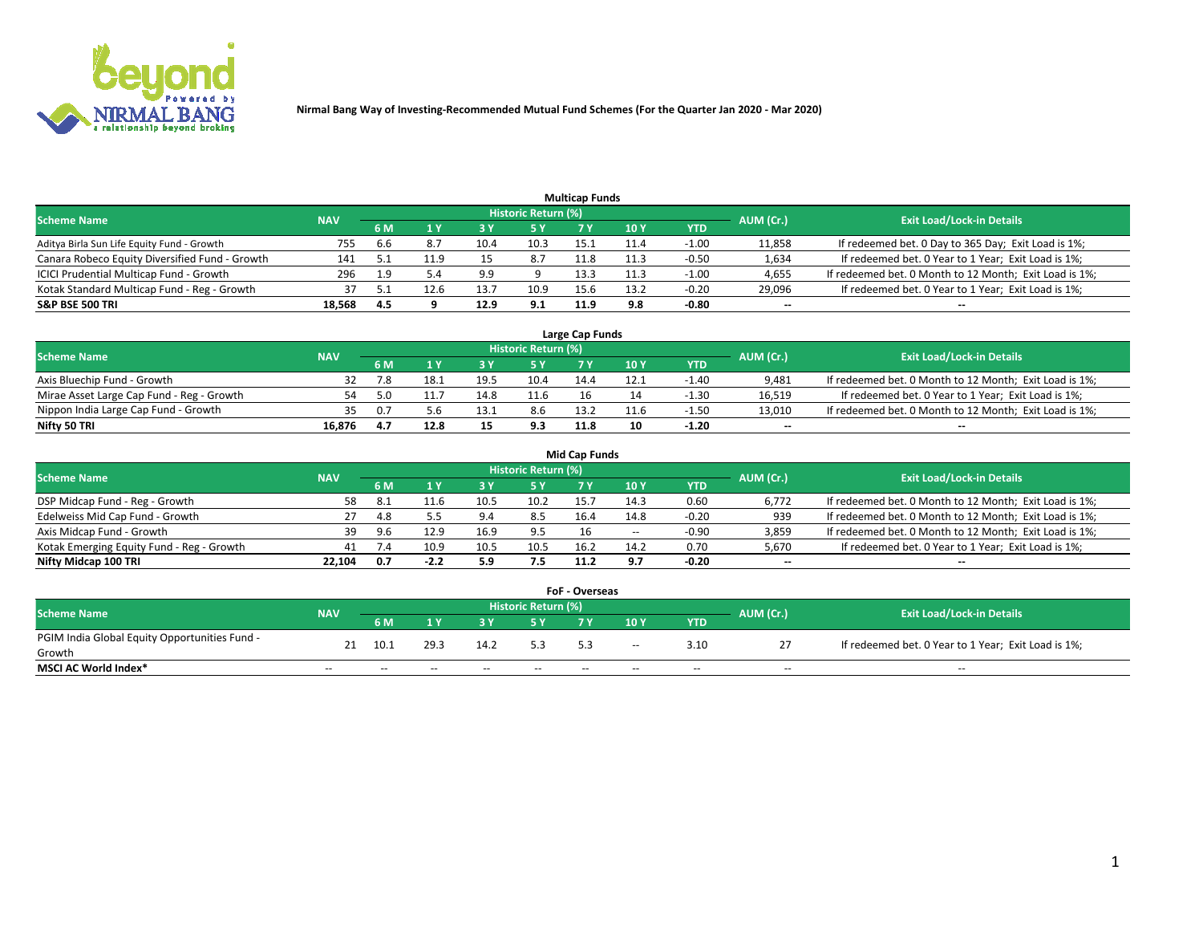

|                                                |            |     |      |      |                     | <b>Multicap Funds</b> |      |         |                          |                                                        |
|------------------------------------------------|------------|-----|------|------|---------------------|-----------------------|------|---------|--------------------------|--------------------------------------------------------|
| Scheme Name                                    | <b>NAV</b> |     |      |      | Historic Return (%) |                       |      |         | AUM (Cr.)                | <b>Exit Load/Lock-in Details</b>                       |
|                                                |            | 6 M | 4 Y  |      | 5 Y                 |                       | 10 Y | YTD     |                          |                                                        |
| Aditya Birla Sun Life Equity Fund - Growth     | 755        | 6.6 |      |      | 10.3                | 15.1                  |      | $-1.00$ | 11,858                   | If redeemed bet. 0 Day to 365 Day; Exit Load is 1%;    |
| Canara Robeco Equity Diversified Fund - Growth | 141        |     | 11.9 |      | 8.7                 | 11.8                  | 11.3 | $-0.50$ | 1,634                    | If redeemed bet. 0 Year to 1 Year; Exit Load is 1%;    |
| ICICI Prudential Multicap Fund - Growth        | 296        | 19  |      | 9.9  |                     | 13.3                  | 11.3 | $-1.00$ | 4,655                    | If redeemed bet. 0 Month to 12 Month; Exit Load is 1%; |
| Kotak Standard Multicap Fund - Reg - Growth    |            |     | 12.6 | 13.7 | 10.9                | 15.6                  | 13.2 | $-0.20$ | 29,096                   | If redeemed bet. 0 Year to 1 Year; Exit Load is 1%;    |
| <b>S&amp;P BSE 500 TRI</b>                     | 18,568     | 4.5 |      | 12.9 | 9.1                 | 11.9                  | 9.8  | $-0.80$ | $\overline{\phantom{a}}$ | $-$                                                    |

| Large Cap Funds                           |            |      |      |      |                     |      |      |         |           |                                                        |  |  |  |  |
|-------------------------------------------|------------|------|------|------|---------------------|------|------|---------|-----------|--------------------------------------------------------|--|--|--|--|
| Scheme Name                               | <b>NAV</b> |      |      |      | Historic Return (%) |      |      |         | AUM (Cr.) | <b>Exit Load/Lock-in Details</b>                       |  |  |  |  |
|                                           |            | 6 M  |      |      | 5 Y                 |      | 10Y  | YTD     |           |                                                        |  |  |  |  |
| Axis Bluechip Fund - Growth               |            |      |      | 19.5 | 10.4                | 14.4 | 12.1 | $-1.40$ | 9,481     | If redeemed bet. 0 Month to 12 Month; Exit Load is 1%; |  |  |  |  |
| Mirae Asset Large Cap Fund - Reg - Growth |            |      |      | 14.8 | 11.6                |      |      | $-1.30$ | 16,519    | If redeemed bet. 0 Year to 1 Year; Exit Load is 1%;    |  |  |  |  |
| Nippon India Large Cap Fund - Growth      |            |      |      |      | 8.6                 | 13.2 | 11.6 | $-1.50$ | 13,010    | If redeemed bet. 0 Month to 12 Month; Exit Load is 1%; |  |  |  |  |
| Nifty 50 TRI                              | 16.876     | -4.7 | 12.8 |      | 9.3                 | 11.8 |      | $-1.20$ | $\sim$    | $\sim$                                                 |  |  |  |  |

|                                           |            |     |        |      |                     | <b>Mid Cap Funds</b> |      |            |                          |                                                        |
|-------------------------------------------|------------|-----|--------|------|---------------------|----------------------|------|------------|--------------------------|--------------------------------------------------------|
| <b>Scheme Name</b>                        | <b>NAV</b> |     |        |      | Historic Return (%) |                      |      |            | AUM (Cr.)                | <b>Exit Load/Lock-in Details</b>                       |
|                                           |            | 6 M |        |      |                     |                      | 10Y  | <b>YTD</b> |                          |                                                        |
| DSP Midcap Fund - Reg - Growth            | 58         | -8. |        | 10.5 | 10.2                | 15.7                 | 14.3 | 0.60       | 6,772                    | If redeemed bet. 0 Month to 12 Month; Exit Load is 1%; |
| Edelweiss Mid Cap Fund - Growth           |            | 4.8 |        | 9.4  | 8.5                 | 16.4                 | 14.8 | $-0.20$    | 939                      | If redeemed bet. 0 Month to 12 Month; Exit Load is 1%; |
| Axis Midcap Fund - Growth                 | 39         | 9.6 | 12.9   | 16.9 | 9.5                 |                      | $-$  | -0.90      | 3,859                    | If redeemed bet. 0 Month to 12 Month; Exit Load is 1%; |
| Kotak Emerging Equity Fund - Reg - Growth | 41         | 7.4 | 10.9   | 10.5 | 10.5                | 16.2                 | 14.2 | 0.70       | 5,670                    | If redeemed bet. 0 Year to 1 Year; Exit Load is 1%;    |
| Nifty Midcap 100 TRI                      | 22.104     | 0.7 | $-2.2$ | 5.9  | 7.5                 | 11.2                 | 9.7  | $-0.20$    | $\overline{\phantom{a}}$ | $\overline{\phantom{a}}$                               |

| <b>FoF - Overseas</b>                         |            |       |       |       |                            |     |        |            |           |                                                     |  |  |  |
|-----------------------------------------------|------------|-------|-------|-------|----------------------------|-----|--------|------------|-----------|-----------------------------------------------------|--|--|--|
| <b>Scheme Name</b>                            | <b>NAV</b> |       |       |       | <b>Historic Return (%)</b> |     |        |            | AUM (Cr.) | <b>Exit Load/Lock-in Details</b>                    |  |  |  |
|                                               |            | 6 M   |       |       |                            |     | 10Y    | <b>YTD</b> |           |                                                     |  |  |  |
| PGIM India Global Equity Opportunities Fund - | 21         | 10.1  | 29.3  | 14.2  |                            |     | $\sim$ | 3.10       |           | If redeemed bet. 0 Year to 1 Year; Exit Load is 1%; |  |  |  |
| Growth                                        |            |       |       |       |                            | 5.3 |        |            |           |                                                     |  |  |  |
| <b>MSCI AC World Index*</b>                   | $- -$      | $- -$ | $- -$ | $- -$ | $- -$                      | --  | $- -$  | $- -$      | $- -$     | $- -$                                               |  |  |  |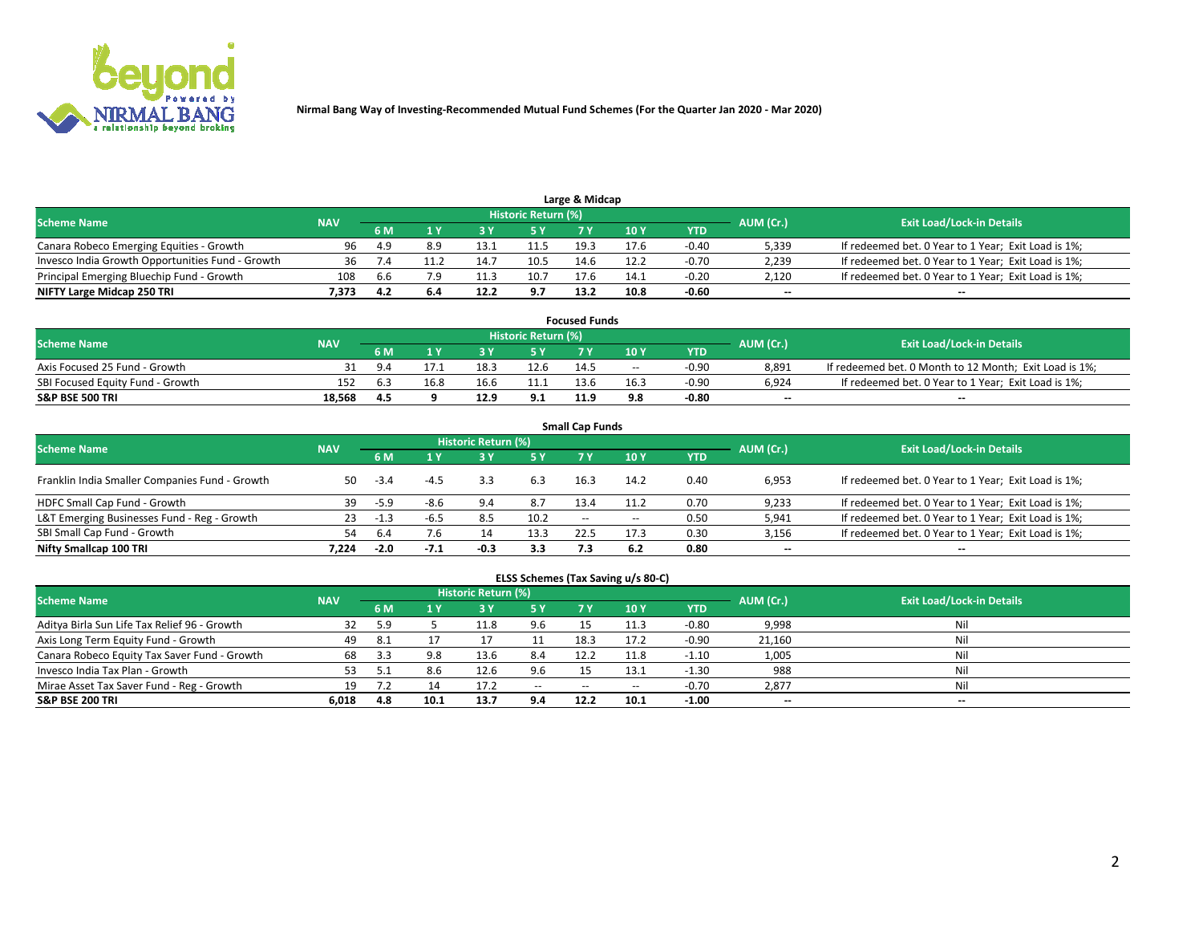

| Large & Midcap<br>Historic Return (%)            |            |      |     |      |      |      |      |         |                          |                                                     |  |  |  |  |
|--------------------------------------------------|------------|------|-----|------|------|------|------|---------|--------------------------|-----------------------------------------------------|--|--|--|--|
| <b>Scheme Name</b>                               | <b>NAV</b> |      |     |      |      |      |      |         | AUM (Cr.)                | <b>Exit Load/Lock-in Details</b>                    |  |  |  |  |
|                                                  |            | 6 M  |     |      | 5 Y  |      | 10Y  | YTD.    |                          |                                                     |  |  |  |  |
| Canara Robeco Emerging Equities - Growth         | 96         | -4.9 | 8.9 | 13.1 | 11.5 | 19.3 |      | $-0.40$ | 5,339                    | If redeemed bet. 0 Year to 1 Year; Exit Load is 1%; |  |  |  |  |
| Invesco India Growth Opportunities Fund - Growth |            |      |     | 14.  | 10.5 | 14.6 | 12.2 | $-0.70$ | 2,239                    | If redeemed bet. 0 Year to 1 Year; Exit Load is 1%; |  |  |  |  |
| Principal Emerging Bluechip Fund - Growth        | 108        | 6.b  | 7.9 | 11.3 | 10.7 | 17.6 | 14.1 | $-0.20$ | 2,120                    | If redeemed bet. 0 Year to 1 Year; Exit Load is 1%; |  |  |  |  |
| NIFTY Large Midcap 250 TRI                       | 7.373      |      | 6.4 | 12.2 | 9.7  | 13.2 | 10.8 | $-0.60$ | $\overline{\phantom{a}}$ | $- -$                                               |  |  |  |  |

| <b>Focused Funds</b>             |            |             |      |      |                     |      |       |         |           |                                                        |  |  |  |
|----------------------------------|------------|-------------|------|------|---------------------|------|-------|---------|-----------|--------------------------------------------------------|--|--|--|
| <b>Scheme Name</b>               | <b>NAV</b> |             |      |      | Historic Return (%) |      |       |         | AUM (Cr.) | <b>Exit Load/Lock-in Details</b>                       |  |  |  |
|                                  |            | <b>6 M</b>  |      |      |                     |      | 10 Y  | YTD     |           |                                                        |  |  |  |
| Axis Focused 25 Fund - Growth    |            | $Q \Lambda$ |      | 18.5 | 12.6                | 14.5 | $- -$ | $-0.90$ | 8.891     | If redeemed bet. 0 Month to 12 Month; Exit Load is 1%; |  |  |  |
| SBI Focused Equity Fund - Growth | 152        |             | 16.8 |      |                     | 13.6 | 16.3  | $-0.90$ | 6.924     | If redeemed bet. 0 Year to 1 Year; Exit Load is 1%;    |  |  |  |
| <b>S&amp;P BSE 500 TRI</b>       | 18.568     | 4.5         |      | 12.9 | 9.1                 | 11.9 | 9.8   | $-0.80$ | $\sim$    | $- -$                                                  |  |  |  |

| <b>Small Cap Funds</b>                         |            |        |        |                     |      |               |        |      |           |                                                     |  |  |  |  |
|------------------------------------------------|------------|--------|--------|---------------------|------|---------------|--------|------|-----------|-----------------------------------------------------|--|--|--|--|
| <b>Scheme Name</b>                             | <b>NAV</b> |        |        | Historic Return (%) |      |               |        |      | AUM (Cr.) | <b>Exit Load/Lock-in Details</b>                    |  |  |  |  |
|                                                |            | 6 M    |        | 3Y                  | 5 Y  | 7 Y           | 10Y    | YTD  |           |                                                     |  |  |  |  |
| Franklin India Smaller Companies Fund - Growth | 50         | $-3.4$ |        |                     | 6.3  | 16.3          | 14.2   | 0.40 | 6,953     | If redeemed bet. 0 Year to 1 Year; Exit Load is 1%; |  |  |  |  |
| HDFC Small Cap Fund - Growth                   | 39         | $-5.9$ | -8.6   | 9.4                 | 8.7  | 13.4          | 11.2   | 0.70 | 9,233     | If redeemed bet. 0 Year to 1 Year; Exit Load is 1%; |  |  |  |  |
| L&T Emerging Businesses Fund - Reg - Growth    | 23         | -1.3   | -6.5   | 8.5                 | 10.2 | $\sim$ $\sim$ | $\sim$ | 0.50 | 5,941     | If redeemed bet. 0 Year to 1 Year; Exit Load is 1%; |  |  |  |  |
| SBI Small Cap Fund - Growth                    | 54         | 6.4    | 7.6    | 14                  | 13.3 | 22.5          | 17.3   | 0.30 | 3,156     | If redeemed bet. 0 Year to 1 Year; Exit Load is 1%; |  |  |  |  |
| Nifty Smallcap 100 TRI                         | 7.224      | $-2.0$ | $-7.1$ | -0.3                | 3.3  |               | 6.2    | 0.80 | $\sim$    | $- -$                                               |  |  |  |  |

## **ELSS Schemes (Tax Saving u/s 80-C)**

| <b>Scheme Name</b>                           | <b>NAV</b> |     |      | <b>Historic Return (%)</b> |           |       |      |         | AUM (Cr.) | <b>Exit Load/Lock-in Details</b> |
|----------------------------------------------|------------|-----|------|----------------------------|-----------|-------|------|---------|-----------|----------------------------------|
|                                              |            | 6 M | 1 Y  | <b>3 Y</b>                 | <b>5Y</b> | 7 Y   | 10Y  | YTD     |           |                                  |
| Aditya Birla Sun Life Tax Relief 96 - Growth | 32         | 5.9 |      | 11.8                       | 9.6       |       |      | $-0.80$ | 9,998     | Nil                              |
| Axis Long Term Equity Fund - Growth          | 49         | 8.1 |      |                            |           | 18.3  | 17.2 | $-0.90$ | 21,160    | Nil                              |
| Canara Robeco Equity Tax Saver Fund - Growth | 68         |     |      | 13.6                       | 8.4       | 12.2  | 11.8 | $-1.10$ | 1,005     | Nil                              |
| Invesco India Tax Plan - Growth              | 53         |     | 8.b  | 12.6                       | 9.6       |       | 13.1 | $-1.30$ | 988       | Nil                              |
| Mirae Asset Tax Saver Fund - Reg - Growth    | 19         |     |      | 17.2                       | $-$       | $- -$ | --   | $-0.70$ | 2,877     | Nil                              |
| S&P BSE 200 TRI                              | 6,018      | 4.8 | 10.1 | 13.7                       | 9.4       | 12.2  | 10.1 | $-1.00$ | $-$       | $- -$                            |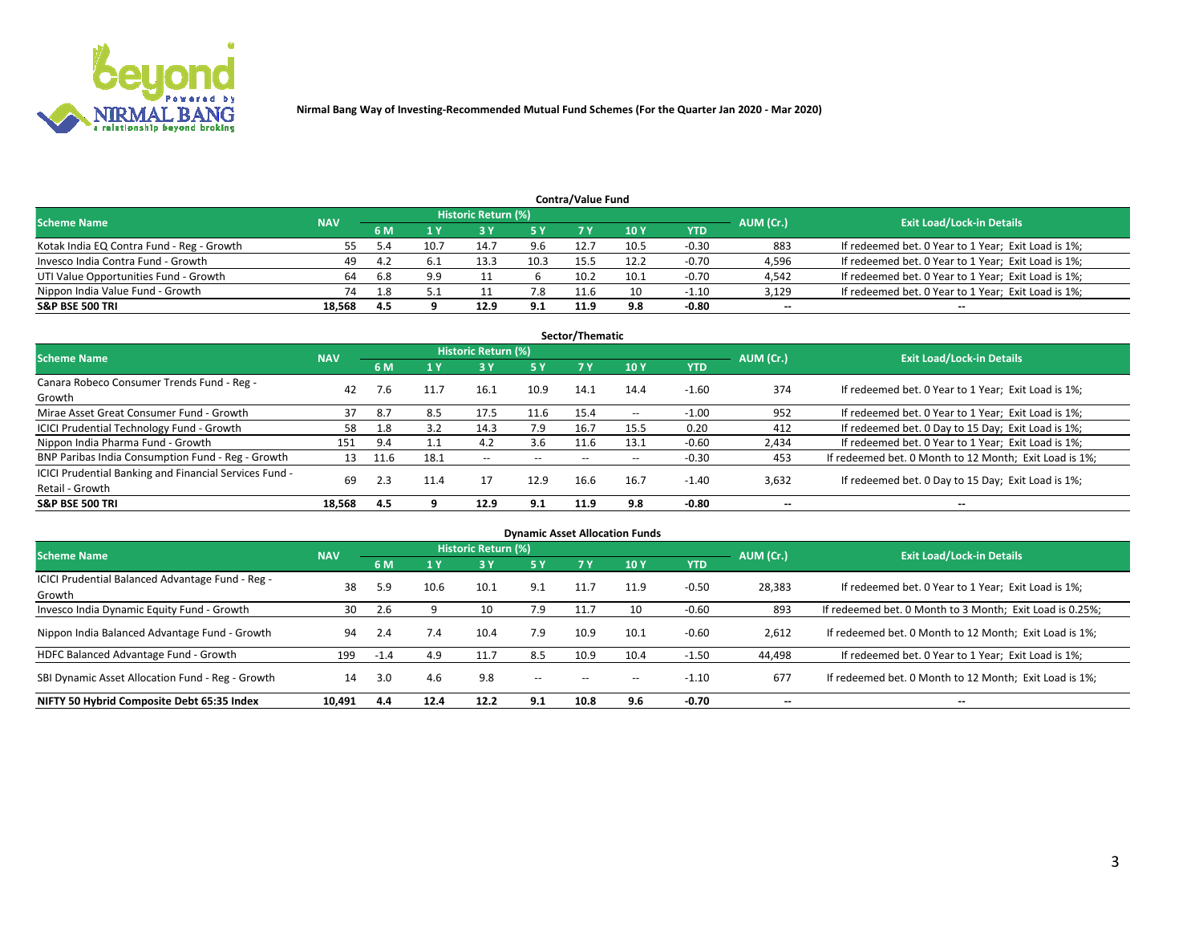

|                                           |            |      |      | Historic Return (%) |      | <b>Contra/Value Fund</b> |      |         |           |                                                     |
|-------------------------------------------|------------|------|------|---------------------|------|--------------------------|------|---------|-----------|-----------------------------------------------------|
| <b>Scheme Name</b>                        | <b>NAV</b> | 6 M  |      |                     | 5 Y  | 7 V                      | 10Y  | YTD     | AUM (Cr.) | <b>Exit Load/Lock-in Details</b>                    |
| Kotak India EQ Contra Fund - Reg - Growth |            |      | 10.7 | 14.7                | 9.6  | 12.7                     | 10.5 | $-0.30$ | 883       | If redeemed bet. 0 Year to 1 Year; Exit Load is 1%; |
| Invesco India Contra Fund - Growth        | 49         | -4.7 |      | 13.3                | 10.3 | 15.5                     | 12.2 | $-0.70$ | 4,596     | If redeemed bet. 0 Year to 1 Year; Exit Load is 1%; |
| UTI Value Opportunities Fund - Growth     | 64         | 6.8  | 9.9  |                     |      | 10.2                     | 10.1 | $-0.70$ | 4,542     | If redeemed bet. 0 Year to 1 Year; Exit Load is 1%; |
| Nippon India Value Fund - Growth          | 74         | 1.8  |      |                     | 7.8  | 11.6                     |      | $-1.10$ | 3,129     | If redeemed bet. 0 Year to 1 Year; Exit Load is 1%; |
| <b>S&amp;P BSE 500 TRI</b>                | 18.568     | 4.5  |      | 12.9                | 9.1  | 11.9                     | 9.8  | $-0.80$ | $\sim$    | $- -$                                               |

|                                                                           |            |      |      |                     |           | Sector/Thematic |                          |            |                          |                                                        |
|---------------------------------------------------------------------------|------------|------|------|---------------------|-----------|-----------------|--------------------------|------------|--------------------------|--------------------------------------------------------|
| <b>Scheme Name</b>                                                        | <b>NAV</b> |      |      | Historic Return (%) |           |                 |                          |            | AUM (Cr.)                | <b>Exit Load/Lock-in Details</b>                       |
|                                                                           |            | 6 M  | 1 Y  | 73 Y                | <b>5Y</b> | 7 Y             | 10Y                      | <b>YTD</b> |                          |                                                        |
| Canara Robeco Consumer Trends Fund - Reg -<br>Growth                      | 42         |      | 11.7 | 16.1                | 10.9      | 14.1            | 14.4                     | $-1.60$    | 374                      | If redeemed bet. 0 Year to 1 Year; Exit Load is 1%;    |
| Mirae Asset Great Consumer Fund - Growth                                  | 37         | 8.7  | 8.5  | 17.5                | 11.6      | 15.4            | $\overline{\phantom{a}}$ | $-1.00$    | 952                      | If redeemed bet. 0 Year to 1 Year; Exit Load is 1%;    |
| ICICI Prudential Technology Fund - Growth                                 | 58         | 1.8  | 3.2  | 14.3                | 7.9       | 16.7            | 15.5                     | 0.20       | 412                      | If redeemed bet. 0 Day to 15 Day; Exit Load is 1%;     |
| Nippon India Pharma Fund - Growth                                         | 151        | 9.4  |      | 4.2                 | 3.6       | 11.6            | 13.1                     | $-0.60$    | 2,434                    | If redeemed bet. 0 Year to 1 Year; Exit Load is 1%;    |
| BNP Paribas India Consumption Fund - Reg - Growth                         | 13         | 11.6 | 18.1 | $\sim$              | $- -$     | $- -$           | $- -$                    | $-0.30$    | 453                      | If redeemed bet. 0 Month to 12 Month; Exit Load is 1%; |
| ICICI Prudential Banking and Financial Services Fund -<br>Retail - Growth | 69         | 2.3  | 11.4 | 17                  | 12.9      | 16.6            | 16.7                     | $-1.40$    | 3,632                    | If redeemed bet. 0 Day to 15 Day; Exit Load is 1%;     |
| <b>S&amp;P BSE 500 TRI</b>                                                | 18.568     | 4.5  |      | 12.9                | 9.1       | 11.9            | 9.8                      | $-0.80$    | $\overline{\phantom{a}}$ | $\overline{\phantom{a}}$                               |

|                                                            |            |        |      |                            |        |       | <b>Dynamic Asset Allocation Funds</b> |            |           |                                                          |
|------------------------------------------------------------|------------|--------|------|----------------------------|--------|-------|---------------------------------------|------------|-----------|----------------------------------------------------------|
| <b>Scheme Name</b>                                         | <b>NAV</b> |        |      | <b>Historic Return (%)</b> |        |       |                                       |            | AUM (Cr.) | <b>Exit Load/Lock-in Details</b>                         |
|                                                            |            | 6 M    | 1 Y  | 73 Y                       | 5 Y    |       | 10Y                                   | <b>YTD</b> |           |                                                          |
| ICICI Prudential Balanced Advantage Fund - Reg -<br>Growth | 38         | 5.9    | 10.6 | 10.1                       | 9.1    | 11.7  | 11.9                                  | $-0.50$    | 28,383    | If redeemed bet. 0 Year to 1 Year; Exit Load is 1%;      |
| Invesco India Dynamic Equity Fund - Growth                 | 30         | 2.6    |      | 10                         | 7.9    | 11.7  | 10                                    | $-0.60$    | 893       | If redeemed bet. 0 Month to 3 Month; Exit Load is 0.25%; |
| Nippon India Balanced Advantage Fund - Growth              | 94         | 2.4    | 7.4  | 10.4                       | 7.9    | 10.9  | 10.1                                  | $-0.60$    | 2,612     | If redeemed bet. 0 Month to 12 Month; Exit Load is 1%;   |
| HDFC Balanced Advantage Fund - Growth                      | 199        | $-1.4$ | 4.9  | 11.7                       | 8.5    | 10.9  | 10.4                                  | $-1.50$    | 44,498    | If redeemed bet. 0 Year to 1 Year; Exit Load is 1%;      |
| SBI Dynamic Asset Allocation Fund - Reg - Growth           | 14         | 3.0    | 4.6  | 9.8                        | $\sim$ | $- -$ | $\overline{\phantom{a}}$              | $-1.10$    | 677       | If redeemed bet. 0 Month to 12 Month; Exit Load is 1%;   |
| NIFTY 50 Hybrid Composite Debt 65:35 Index                 | 10,491     | 4.4    | 12.4 | 12.2                       | 9.1    | 10.8  | 9.6                                   | $-0.70$    | --        | --                                                       |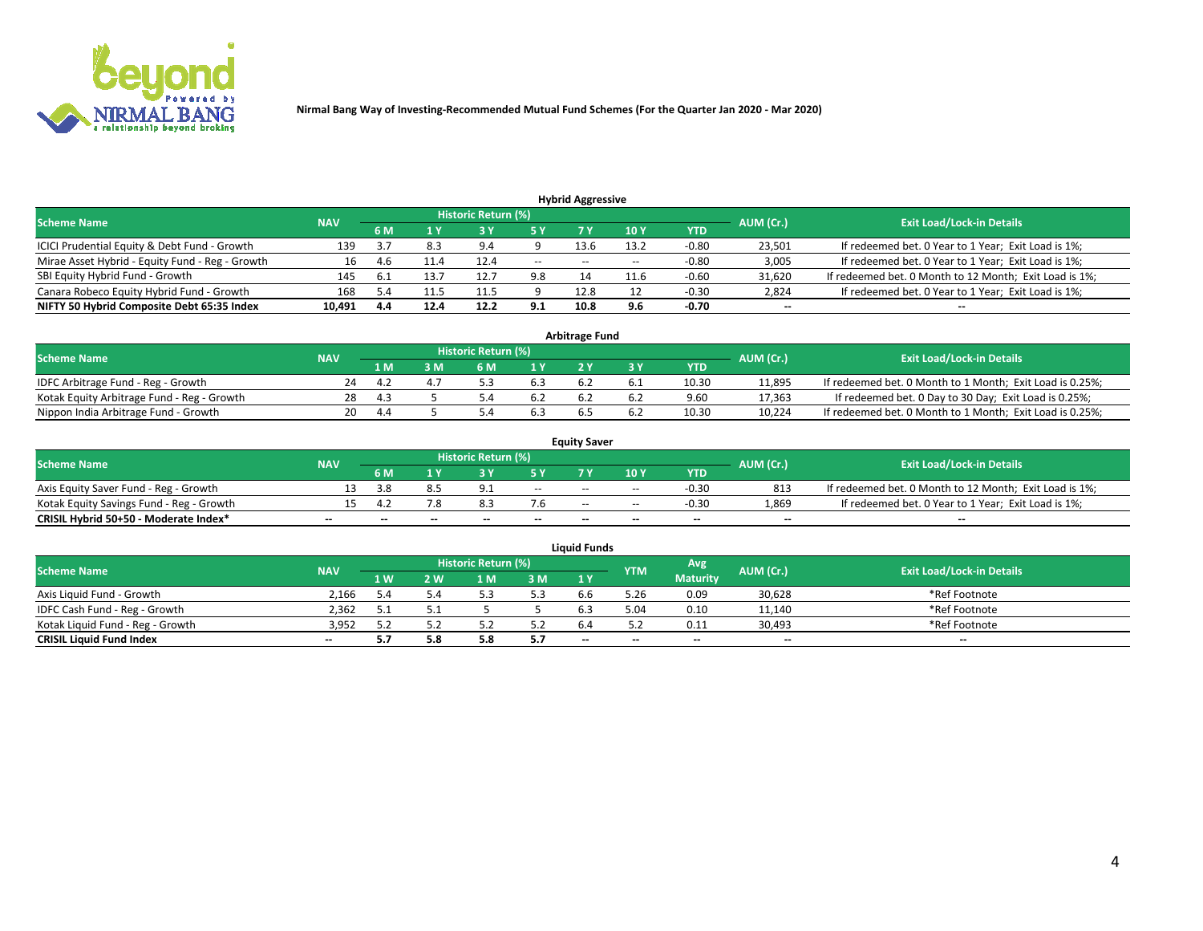

| <b>Hybrid Aggressive</b>                        |            |     |      |                            |        |                          |       |         |                          |                                                        |  |  |  |  |
|-------------------------------------------------|------------|-----|------|----------------------------|--------|--------------------------|-------|---------|--------------------------|--------------------------------------------------------|--|--|--|--|
| <b>Scheme Name</b>                              | <b>NAV</b> |     |      | <b>Historic Return (%)</b> |        |                          |       |         | AUM (Cr.)                | <b>Exit Load/Lock-in Details</b>                       |  |  |  |  |
|                                                 |            | 6 M |      |                            |        |                          | 10Y   | YTD     |                          |                                                        |  |  |  |  |
| ICICI Prudential Equity & Debt Fund - Growth    | 139        |     | 8.3  | 9.4                        |        | 13.6                     | 13.2  | $-0.80$ | 23,501                   | If redeemed bet. 0 Year to 1 Year; Exit Load is 1%;    |  |  |  |  |
| Mirae Asset Hybrid - Equity Fund - Reg - Growth | 16         | 4.b | 11.4 | 12.4                       | $\sim$ | $\overline{\phantom{a}}$ | $- -$ | $-0.80$ | 3,005                    | If redeemed bet. 0 Year to 1 Year; Exit Load is 1%;    |  |  |  |  |
| SBI Equity Hybrid Fund - Growth                 | 145        |     | 13.7 | 12.                        | 9.8    |                          | 11.F  | $-0.60$ | 31,620                   | If redeemed bet. 0 Month to 12 Month; Exit Load is 1%; |  |  |  |  |
| Canara Robeco Equity Hybrid Fund - Growth       | 168        |     | 11.5 | 11.5                       |        | 12.8                     |       | $-0.30$ | 2,824                    | If redeemed bet. 0 Year to 1 Year; Exit Load is 1%;    |  |  |  |  |
| NIFTY 50 Hybrid Composite Debt 65:35 Index      | 10,491     | 4.4 | 12.4 | 12.2                       | 9.1    | 10.8                     | 9.6   | $-0.70$ | $\overline{\phantom{a}}$ | $- -$                                                  |  |  |  |  |

|                                            |            |      |     |                            |     | <b>Arbitrage Fund</b> |       |           |                                                          |
|--------------------------------------------|------------|------|-----|----------------------------|-----|-----------------------|-------|-----------|----------------------------------------------------------|
| Scheme Name                                | <b>NAV</b> |      |     | <b>Historic Return (%)</b> |     |                       |       | AUM (Cr.) | <b>Exit Load/Lock-in Details</b>                         |
|                                            |            | 1 M  | ያ M | 6 M                        |     |                       | YTD   |           |                                                          |
| IDFC Arbitrage Fund - Reg - Growth         | 24         |      |     |                            | 6.3 |                       | 10.30 | 11,895    | If redeemed bet. 0 Month to 1 Month; Exit Load is 0.25%; |
| Kotak Equity Arbitrage Fund - Reg - Growth | 28         | -4.3 |     |                            | 6.2 |                       | 9.60  | 17,363    | If redeemed bet. 0 Day to 30 Day; Exit Load is 0.25%;    |
| Nippon India Arbitrage Fund - Growth       | 20         | 4.4  |     |                            | 6.3 | n.:                   | 10.30 | 10.224    | If redeemed bet. 0 Month to 1 Month; Exit Load is 0.25%; |

|                                          |            |     |     |                            |                          | <b>Equity Saver</b> |               |            |                          |                                                        |
|------------------------------------------|------------|-----|-----|----------------------------|--------------------------|---------------------|---------------|------------|--------------------------|--------------------------------------------------------|
| Scheme Name                              | <b>NAV</b> |     |     | <b>Historic Return (%)</b> |                          |                     |               |            | AUM (Cr.)                | <b>Exit Load/Lock-in Details</b>                       |
|                                          |            | 6 M |     |                            | 5 Y                      |                     | $\sqrt{10}$ Y | <b>YTD</b> |                          |                                                        |
| Axis Equity Saver Fund - Reg - Growth    |            | 3.8 |     | $\Omega$                   | $\sim$                   | $- -$               | $- -$         | $-0.30$    | 813                      | If redeemed bet. 0 Month to 12 Month; Exit Load is 1%; |
| Kotak Equity Savings Fund - Reg - Growth |            |     | 7.8 | 0.3                        | 7.6                      | $- -$               | $- -$         | $-0.30$    | 1,869                    | If redeemed bet. 0 Year to 1 Year; Exit Load is 1%;    |
| CRISIL Hybrid 50+50 - Moderate Index*    |            | $-$ | $-$ | $\overline{\phantom{a}}$   | $\overline{\phantom{a}}$ | $\sim$              | --            | $\sim$     | $\overline{\phantom{a}}$ | $- -$                                                  |

| <b>Liquid Funds</b>              |            |      |     |                            |      |        |            |                 |           |                                  |  |  |  |
|----------------------------------|------------|------|-----|----------------------------|------|--------|------------|-----------------|-----------|----------------------------------|--|--|--|
| Scheme Name                      | <b>NAV</b> |      |     | <b>Historic Return (%)</b> |      |        | <b>YTM</b> | Avg             | AUM (Cr.) | <b>Exit Load/Lock-in Details</b> |  |  |  |
|                                  |            | 1 W. | 2 W | 1 M                        | 3 M  | 71 Y   |            | <b>Maturity</b> |           |                                  |  |  |  |
| Axis Liquid Fund - Growth        | 2,166      | .4د  |     |                            | 5.3  | b.b    | 5.26       | 0.09            | 30,628    | *Ref Footnote                    |  |  |  |
| IDFC Cash Fund - Reg - Growth    | 2.362      |      |     |                            |      |        | 5.04       | 0.10            | 11,140    | *Ref Footnote                    |  |  |  |
| Kotak Liquid Fund - Reg - Growth | 3,952      |      |     |                            | ے. ر |        |            | 0.11            | 30,493    | *Ref Footnote                    |  |  |  |
| <b>CRISIL Liquid Fund Index</b>  | $\sim$     | 5.7  |     |                            | 5.7  | $\sim$ | $-$        | $\sim$          | $\sim$    | $\sim$                           |  |  |  |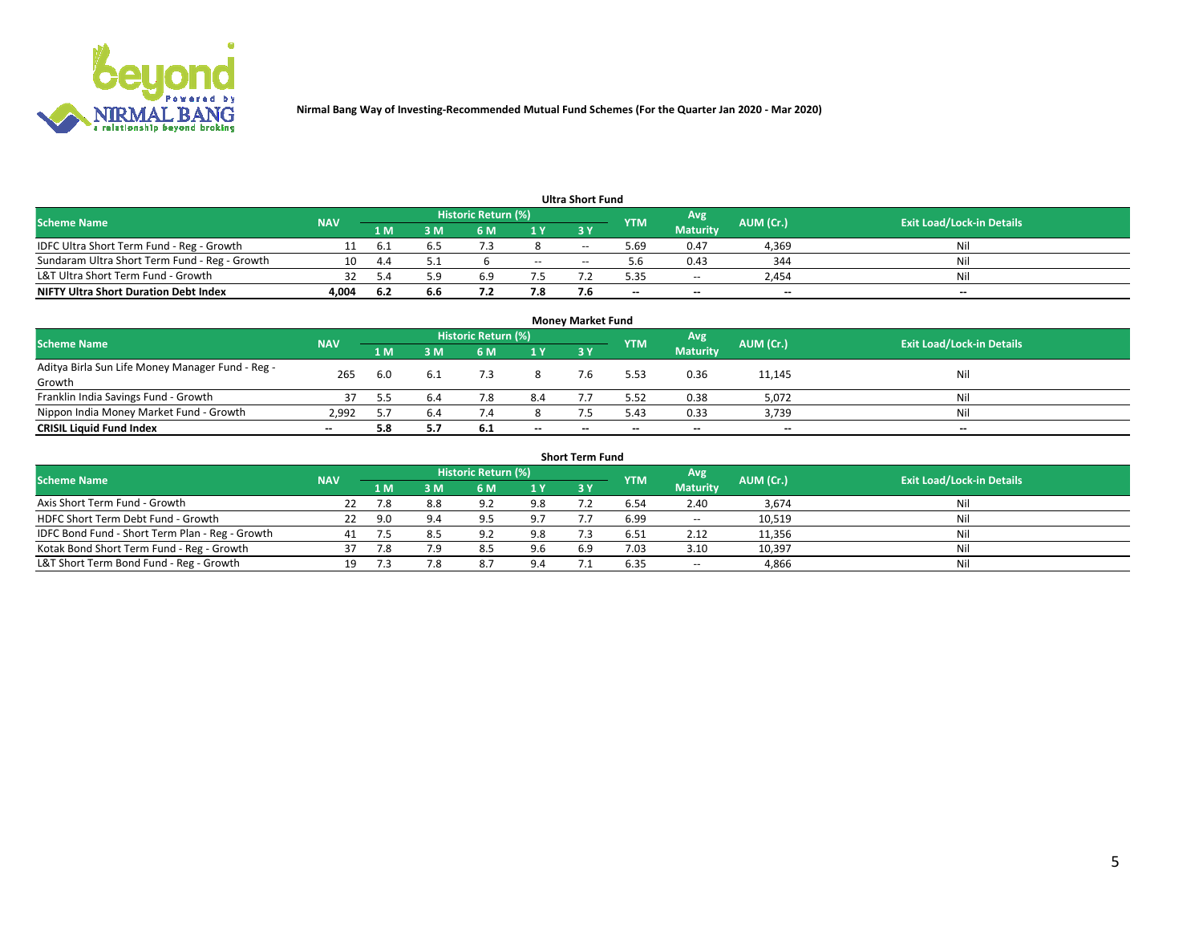

|                                               |            |      |     |                     |        | <b>Ultra Short Fund</b> |            |                 |           |                                  |
|-----------------------------------------------|------------|------|-----|---------------------|--------|-------------------------|------------|-----------------|-----------|----------------------------------|
| <b>Scheme Name</b>                            | <b>NAV</b> |      |     | Historic Return (%) |        |                         | <b>YTM</b> | Avg             | AUM (Cr.) | <b>Exit Load/Lock-in Details</b> |
|                                               |            | 1 M  | 3 M | 6 M                 | 1 Y    | <b>3 Y</b>              |            | <b>Maturity</b> |           |                                  |
| IDFC Ultra Short Term Fund - Reg - Growth     |            | b.1  |     |                     |        | $-$                     | ۔ 69. ذ    | 0.47            | 4,369     | Nil                              |
| Sundaram Ultra Short Term Fund - Reg - Growth |            | 44   |     |                     | $\sim$ | --                      | h          | 0.43            | 344       | Nil                              |
| L&T Ultra Short Term Fund - Growth            |            |      | ۰۵. | 6.9                 |        |                         | 5.35       | $-$             | 2.454     | Nil                              |
| <b>NIFTY Ultra Short Duration Debt Index</b>  | 4,004      | -6.2 | 6.6 |                     | 7.8    |                         | --         | $-$             | $\sim$    | $- -$                            |

| <b>Money Market Fund</b>                         |            |                                                        |     |     |     |    |      |                                  |        |        |  |  |  |
|--------------------------------------------------|------------|--------------------------------------------------------|-----|-----|-----|----|------|----------------------------------|--------|--------|--|--|--|
| <b>Scheme Name</b>                               | <b>NAV</b> | Historic Return (%)<br>'Avg<br>AUM (Cr.)<br><b>YTM</b> |     |     |     |    |      | <b>Exit Load/Lock-in Details</b> |        |        |  |  |  |
|                                                  |            | 1 M                                                    | 3 M | 6 M | 1 Y | 3Y |      | <b>Maturity</b>                  |        |        |  |  |  |
| Aditya Birla Sun Life Money Manager Fund - Reg - | 265        | 6.0                                                    |     |     |     |    | 5.53 | 0.36                             | 11,145 | Nil    |  |  |  |
| Growth                                           |            |                                                        |     |     |     |    |      |                                  |        |        |  |  |  |
| Franklin India Savings Fund - Growth             |            |                                                        | 6.4 | 7.8 | 8.4 |    | 5.52 | 0.38                             | 5,072  | Nil    |  |  |  |
| Nippon India Money Market Fund - Growth          | 2.992      |                                                        | 6.4 |     |     |    | 5.43 | 0.33                             | 3,739  | Nil    |  |  |  |
| <b>CRISIL Liquid Fund Index</b>                  | $- -$      | 5.8                                                    |     | 6.1 | $-$ | -- | --   | $\sim$                           | $\sim$ | $\sim$ |  |  |  |

| <b>Short Term Fund</b>                          |            |     |     |                     |     |            |            |                 |           |                                  |  |  |  |  |
|-------------------------------------------------|------------|-----|-----|---------------------|-----|------------|------------|-----------------|-----------|----------------------------------|--|--|--|--|
| <b>Scheme Name</b>                              | <b>NAV</b> |     |     | Historic Return (%) |     |            | <b>YTM</b> | Avg             | AUM (Cr.) | <b>Exit Load/Lock-in Details</b> |  |  |  |  |
|                                                 |            | 1 M | 3 M | 6 M                 | 1 Y | <b>3 Y</b> |            | <b>Maturity</b> |           |                                  |  |  |  |  |
| Axis Short Term Fund - Growth                   |            | 7.8 | 8.8 | 9.2                 | 9.8 |            | 6.54       | 2.40            | 3,674     | Nil                              |  |  |  |  |
| HDFC Short Term Debt Fund - Growth              | 22         | 9.0 | 9.4 | Q                   | 9.7 |            | 6.99       | $\sim$          | 10,519    | Nil                              |  |  |  |  |
| IDFC Bond Fund - Short Term Plan - Reg - Growth | 41         |     |     | a ၁                 | 9.8 |            | 6.51       | 2.12            | 11,356    | Nil                              |  |  |  |  |
| Kotak Bond Short Term Fund - Reg - Growth       |            | 7.8 | 7.9 | 8.5                 | 9.6 | 6.9        | 7.03       | 3.10            | 10,397    | Nil                              |  |  |  |  |
| L&T Short Term Bond Fund - Reg - Growth         | 19.        |     | 7.8 | 8.7                 | 9.4 |            | 6.35       | $- -$           | 4,866     | Nil                              |  |  |  |  |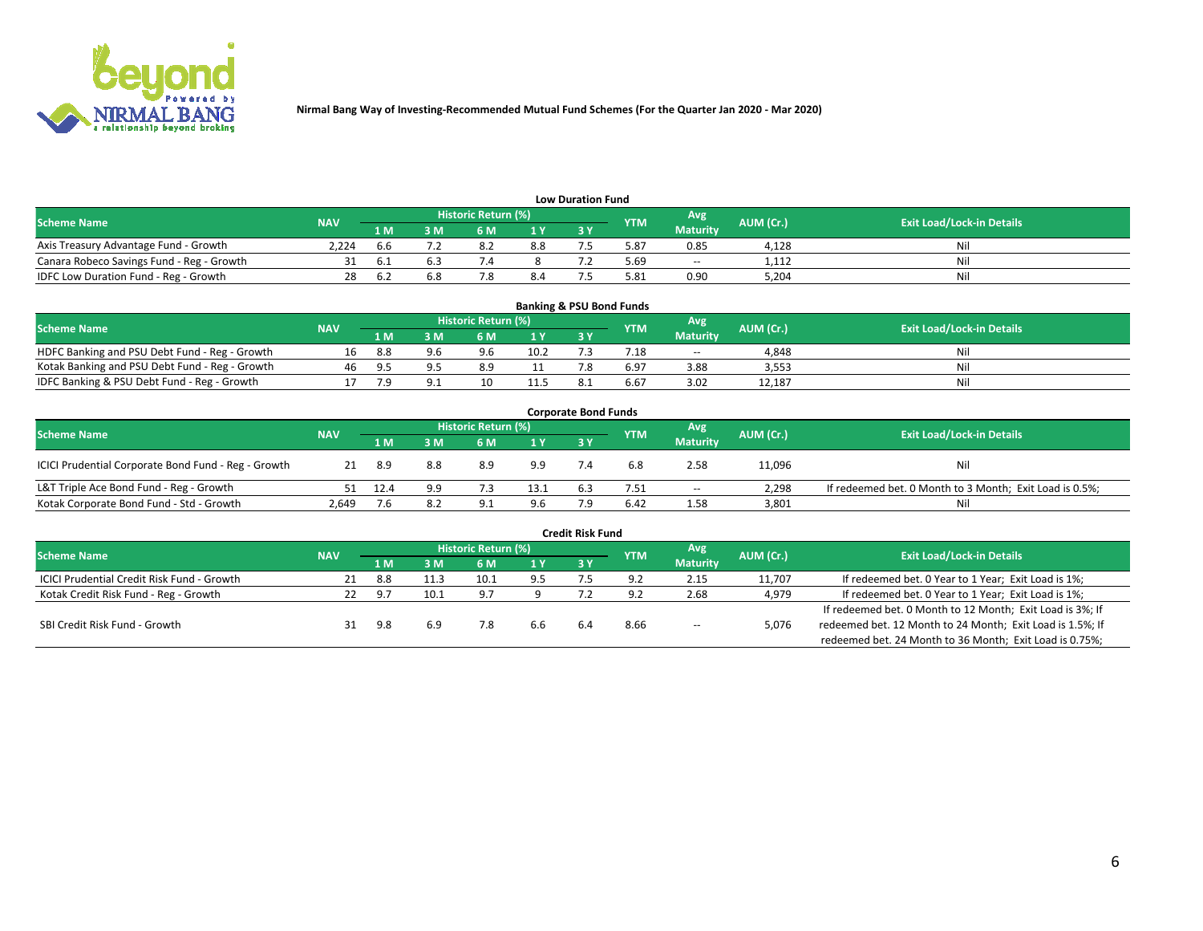

| <b>Low Duration Fund</b>                  |            |       |     |                            |     |    |            |                 |           |                                  |  |  |  |
|-------------------------------------------|------------|-------|-----|----------------------------|-----|----|------------|-----------------|-----------|----------------------------------|--|--|--|
| <b>Scheme Name</b>                        | <b>NAV</b> |       |     | <b>Historic Return (%)</b> |     |    | <b>YTM</b> | Avg             | AUM (Cr.) | <b>Exit Load/Lock-in Details</b> |  |  |  |
|                                           |            | 1 M'  | sм  |                            | 1 V | эv |            | <b>Maturity</b> |           |                                  |  |  |  |
| Axis Treasury Advantage Fund - Growth     | 2.224      | .b.b  |     | 8.4                        | 8.8 |    | 5.87       | 0.85            | 4,128     | Nil                              |  |  |  |
| Canara Robeco Savings Fund - Reg - Growth |            | - 6.1 |     |                            |     |    | 5.69       | $- -$           | 1.112     | Nil                              |  |  |  |
| IDFC Low Duration Fund - Reg - Growth     | 28         | − 6.∠ | 6.8 |                            | 8.4 |    | 5.81       | 0.90            | 5.204     | Nil                              |  |  |  |

| <b>Banking &amp; PSU Bond Funds</b>            |            |      |     |                     |      |           |            |                 |           |                                  |  |  |  |
|------------------------------------------------|------------|------|-----|---------------------|------|-----------|------------|-----------------|-----------|----------------------------------|--|--|--|
| <b>Scheme Name</b>                             | <b>NAV</b> |      |     | Historic Return (%) |      |           | <b>YTM</b> | Avg             | AUM (Cr.) | <b>Exit Load/Lock-in Details</b> |  |  |  |
|                                                |            | 1 M' | sм  | 6 M                 | 71 Y | <b>3Y</b> |            | <b>Maturity</b> |           |                                  |  |  |  |
| HDFC Banking and PSU Debt Fund - Reg - Growth  |            | 8.8  | 9.6 | 9.6                 | 10.2 |           | 7.18       | $\sim$ $\sim$   | 4,848     | Nil                              |  |  |  |
| Kotak Banking and PSU Debt Fund - Reg - Growth | 46         | -95  |     | 8.9                 |      |           | 6.97       | 3.88            | 3,553     | Nil                              |  |  |  |
| IDFC Banking & PSU Debt Fund - Reg - Growth    |            |      |     |                     | 11.5 |           | 6.67       | 3.02            | 12.187    | Nil                              |  |  |  |

| <b>Corporate Bond Funds</b>                         |            |                |     |                     |      |           |            |                 |           |                                                         |  |  |  |
|-----------------------------------------------------|------------|----------------|-----|---------------------|------|-----------|------------|-----------------|-----------|---------------------------------------------------------|--|--|--|
| <b>Scheme Name</b>                                  | <b>NAV</b> |                |     | Historic Return (%) |      |           | <b>YTM</b> | Avg             | AUM (Cr.) | <b>Exit Load/Lock-in Details</b>                        |  |  |  |
|                                                     |            | 1 <sub>M</sub> | : M | 6 M                 | 1 Y  | <b>3Y</b> |            | <b>Maturity</b> |           |                                                         |  |  |  |
| ICICI Prudential Corporate Bond Fund - Reg - Growth | 21         | -8.9           | 8.8 | 8.9                 | 9.9  |           | 6.8        | 2.58            | 11,096    | Nil                                                     |  |  |  |
| L&T Triple Ace Bond Fund - Reg - Growth             |            | 12.4           | 9.9 |                     | 13.1 | 6.3       | 7.51       | $\sim$          | 2,298     | If redeemed bet. 0 Month to 3 Month; Exit Load is 0.5%; |  |  |  |
| Kotak Corporate Bond Fund - Std - Growth            | 2.649      |                | 8.2 | ۹۰<br><u>.</u>      | 9.6  |           | 6.42       | 1.58            | 3,801     | Nil                                                     |  |  |  |

|                                            |            |       |      |                     |      | <b>Credit Risk Fund</b> |            |                 |           |                                                           |
|--------------------------------------------|------------|-------|------|---------------------|------|-------------------------|------------|-----------------|-----------|-----------------------------------------------------------|
| <b>Scheme Name</b>                         | <b>NAV</b> |       |      | Historic Return (%) |      |                         | <b>YTM</b> | Avg             | AUM (Cr.) | <b>Exit Load/Lock-in Details</b>                          |
|                                            |            | 1 M   | : M  | 6 M                 | '1 Y | 3 Y                     |            | <b>Maturity</b> |           |                                                           |
| ICICI Prudential Credit Risk Fund - Growth | 21         | 8.8   | 11.3 | 10.1                | 9.5  |                         | Q 7        | 2.15            | 11,707    | If redeemed bet. 0 Year to 1 Year; Exit Load is 1%;       |
| Kotak Credit Risk Fund - Reg - Growth      |            | - Q 7 | 10.1 | d.                  |      |                         | οq         | 2.68            | 4,979     | If redeemed bet. 0 Year to 1 Year; Exit Load is 1%;       |
|                                            |            |       |      |                     |      |                         |            |                 |           | If redeemed bet. 0 Month to 12 Month; Exit Load is 3%; If |
| SBI Credit Risk Fund - Growth              |            | 9.8   | 6.9  |                     | 6.6  |                         | 8.66       | $- -$           | 5,076     | redeemed bet. 12 Month to 24 Month; Exit Load is 1.5%; If |
|                                            |            |       |      |                     |      |                         |            |                 |           | redeemed bet. 24 Month to 36 Month; Exit Load is 0.75%;   |